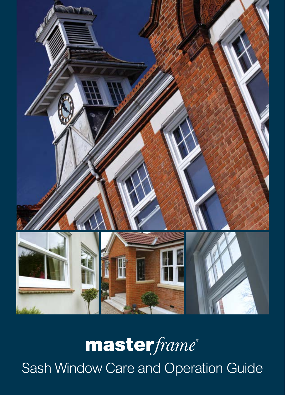

## masterframe® Sash Window Care and Operation Guide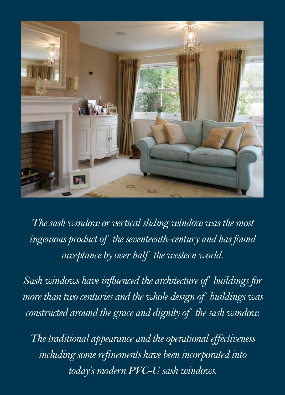

*The sash window or vertical sliding window was the most ingenious product of the seventeenth-century and has found acceptance by over half the western world.*

*Sash windows have influenced the architecture of buildings for more than two centuries and the whole design of buildings was constructed around the grace and dignity of the sash window.*

*The traditional appearance and the operational effectiveness including some refinements have been incorporated into today's modern PVC-U sash windows.*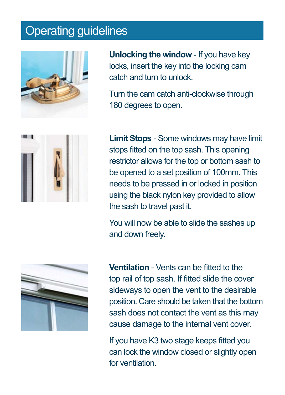## Operating guidelines



**Unlocking the window** - If you have key locks, insert the key into the locking cam catch and turn to unlock.

Turn the cam catch anti-clockwise through 180 degrees to open.



**Limit Stops** - Some windows may have limit stops fitted on the top sash. This opening restrictor allows for the top or bottom sash to be opened to a set position of 100mm. This needs to be pressed in or locked in position using the black nylon key provided to allow the sash to travel past it.

You will now be able to slide the sashes up and down freely.



**Ventilation** - Vents can be fitted to the top rail of top sash. If fitted slide the cover sideways to open the vent to the desirable position. Care should be taken that the bottom sash does not contact the vent as this may cause damage to the internal vent cover.

If you have K3 two stage keeps fitted you can lock the window closed or slightly open for ventilation.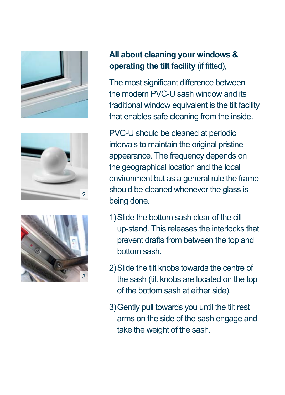





## **All about cleaning your windows & operating the tilt facility** (if fitted),

The most significant difference between the modern PVC-U sash window and its traditional window equivalent is the tilt facility that enables safe cleaning from the inside.

PVC-U should be cleaned at periodic intervals to maintain the original pristine appearance. The frequency depends on the geographical location and the local environment but as a general rule the frame should be cleaned whenever the glass is being done.

- 1)Slide the bottom sash clear of the cill up-stand. This releases the interlocks that prevent drafts from between the top and bottom sash.
- 2)Slide the tilt knobs towards the centre of the sash (tilt knobs are located on the top of the bottom sash at either side).
- 3)Gently pull towards you until the tilt rest arms on the side of the sash engage and take the weight of the sash.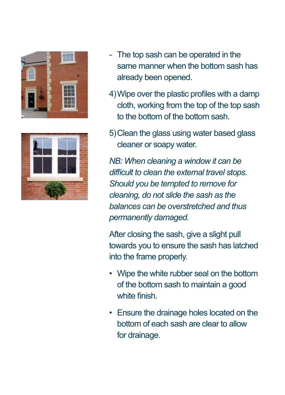



- The top sash can be operated in the same manner when the bottom sash has already been opened.
- 4)Wipe over the plastic profiles with a damp cloth, working from the top of the top sash to the bottom of the bottom sash.
- 5)Clean the glass using water based glass cleaner or soapy water.

*NB: When cleaning a window it can be difficult to clean the external travel stops. Should you be tempted to remove for cleaning, do not slide the sash as the balances can be overstretched and thus permanently damaged.*

After closing the sash, give a slight pull towards you to ensure the sash has latched into the frame properly.

- Wipe the white rubber seal on the bottom of the bottom sash to maintain a good white finish.
- Ensure the drainage holes located on the bottom of each sash are clear to allow for drainage.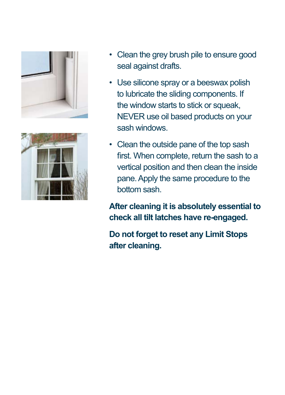



- Clean the grey brush pile to ensure good seal against drafts.
- Use silicone spray or a beeswax polish to lubricate the sliding components. If the window starts to stick or squeak. NEVER use oil based products on your sash windows.
- Clean the outside pane of the top sash first. When complete, return the sash to a vertical position and then clean the inside pane. Apply the same procedure to the bottom sash.

**After cleaning it is absolutely essential to check all tilt latches have re-engaged.**

**Do not forget to reset any Limit Stops after cleaning.**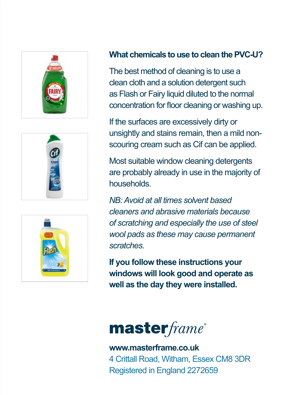





## **What chemicals to use to clean the PVC-U?**

The best method of cleaning is to use a clean cloth and a solution detergent such as Flash or Fairy liquid diluted to the normal concentration for floor cleaning or washing up.

If the surfaces are excessively dirty or unsightly and stains remain, then a mild nonscouring cream such as Cif can be applied.

Most suitable window cleaning detergents are probably already in use in the majority of households.

*NB: Avoid at all times solvent based cleaners and abrasive materials because of scratching and especially the use of steel wool pads as these may cause permanent scratches*.

**If you follow these instructions your windows will look good and operate as well as the day they were installed.**

master frame®

**www.masterframe.co.uk** 4 Crittall Road, Witham, Essex CM8 3DR Registered in England 2272659